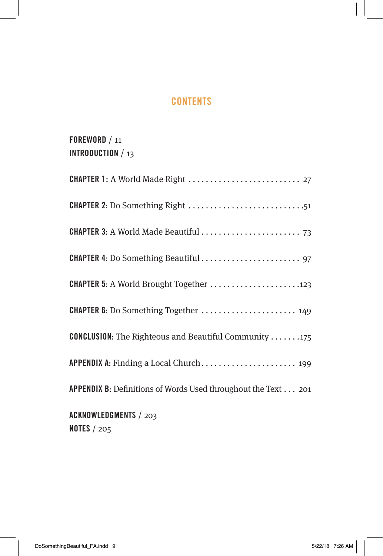## **CONTENTS**

## **FOREWORD** / 11 **INTRODUCTION** / 13

| CHAPTER 5: A World Brought Together 123                       |
|---------------------------------------------------------------|
|                                                               |
| <b>CONCLUSION:</b> The Righteous and Beautiful Community 175  |
|                                                               |
| APPENDIX B: Definitions of Words Used throughout the Text 201 |
| ACKNOWLEDGMENTS / 203<br><b>NOTES / 205</b>                   |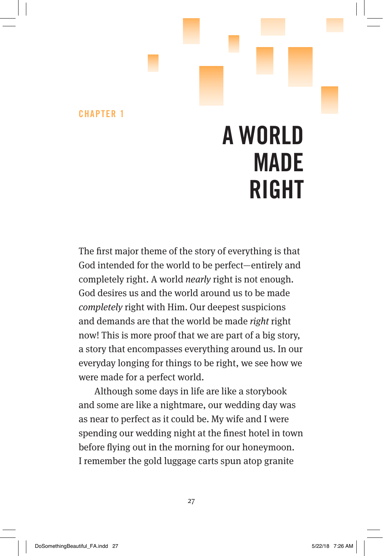### **CHAPTER 1**

# **A WORLD MADE RIGHT**

The first major theme of the story of everything is that God intended for the world to be perfect—entirely and completely right. A world *nearly* right is not enough. God desires us and the world around us to be made *completely* right with Him. Our deepest suspicions and demands are that the world be made *right* right now! This is more proof that we are part of a big story, a story that encompasses everything around us. In our everyday longing for things to be right, we see how we were made for a perfect world.

Although some days in life are like a storybook and some are like a nightmare, our wedding day was as near to perfect as it could be. My wife and I were spending our wedding night at the finest hotel in town before flying out in the morning for our honeymoon. I remember the gold luggage carts spun atop granite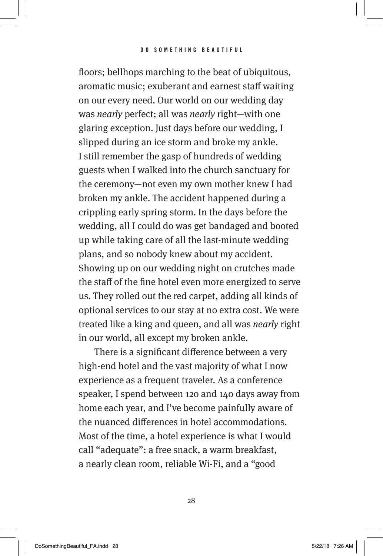floors; bellhops marching to the beat of ubiquitous, aromatic music; exuberant and earnest staff waiting on our every need. Our world on our wedding day was *nearly* perfect; all was *nearly* right—with one glaring exception. Just days before our wedding, I slipped during an ice storm and broke my ankle. I still remember the gasp of hundreds of wedding guests when I walked into the church sanctuary for the ceremony—not even my own mother knew I had broken my ankle. The accident happened during a crippling early spring storm. In the days before the wedding, all I could do was get bandaged and booted up while taking care of all the last-minute wedding plans, and so nobody knew about my accident. Showing up on our wedding night on crutches made the staff of the fine hotel even more energized to serve us. They rolled out the red carpet, adding all kinds of optional services to our stay at no extra cost. We were treated like a king and queen, and all was *nearly* right in our world, all except my broken ankle.

There is a significant difference between a very high-end hotel and the vast majority of what I now experience as a frequent traveler. As a conference speaker, I spend between 120 and 140 days away from home each year, and I've become painfully aware of the nuanced differences in hotel accommodations. Most of the time, a hotel experience is what I would call "adequate": a free snack, a warm breakfast, a nearly clean room, reliable Wi-Fi, and a "good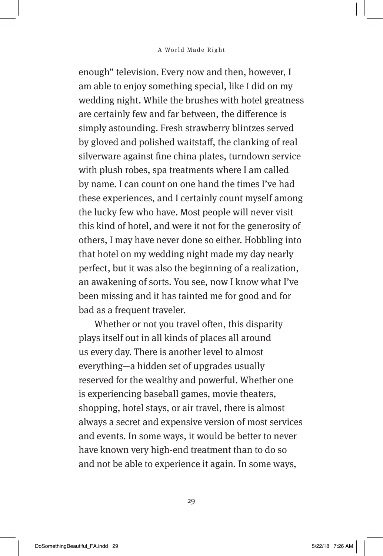enough" television. Every now and then, however, I am able to enjoy something special, like I did on my wedding night. While the brushes with hotel greatness are certainly few and far between, the difference is simply astounding. Fresh strawberry blintzes served by gloved and polished waitstaff, the clanking of real silverware against fine china plates, turndown service with plush robes, spa treatments where I am called by name. I can count on one hand the times I've had these experiences, and I certainly count myself among the lucky few who have. Most people will never visit this kind of hotel, and were it not for the generosity of others, I may have never done so either. Hobbling into that hotel on my wedding night made my day nearly perfect, but it was also the beginning of a realization, an awakening of sorts. You see, now I know what I've been missing and it has tainted me for good and for bad as a frequent traveler.

Whether or not you travel often, this disparity plays itself out in all kinds of places all around us every day. There is another level to almost everything—a hidden set of upgrades usually reserved for the wealthy and powerful. Whether one is experiencing baseball games, movie theaters, shopping, hotel stays, or air travel, there is almost always a secret and expensive version of most services and events. In some ways, it would be better to never have known very high-end treatment than to do so and not be able to experience it again. In some ways,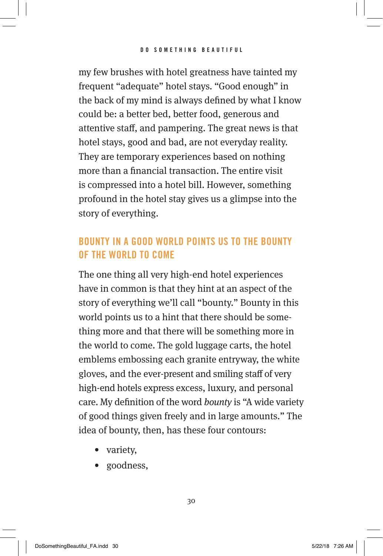my few brushes with hotel greatness have tainted my frequent "adequate" hotel stays. "Good enough" in the back of my mind is always defined by what I know could be: a better bed, better food, generous and attentive staff, and pampering. The great news is that hotel stays, good and bad, are not everyday reality. They are temporary experiences based on nothing more than a financial transaction. The entire visit is compressed into a hotel bill. However, something profound in the hotel stay gives us a glimpse into the story of everything.

## **BOUNTY IN A GOOD WORLD POINTS US TO THE BOUNTY OF THE WORLD TO COME**

The one thing all very high-end hotel experiences have in common is that they hint at an aspect of the story of everything we'll call "bounty." Bounty in this world points us to a hint that there should be something more and that there will be something more in the world to come. The gold luggage carts, the hotel emblems embossing each granite entryway, the white gloves, and the ever-present and smiling staff of very high-end hotels express excess, luxury, and personal care. My definition of the word *bounty* is "A wide variety of good things given freely and in large amounts." The idea of bounty, then, has these four contours:

- variety,
- goodness,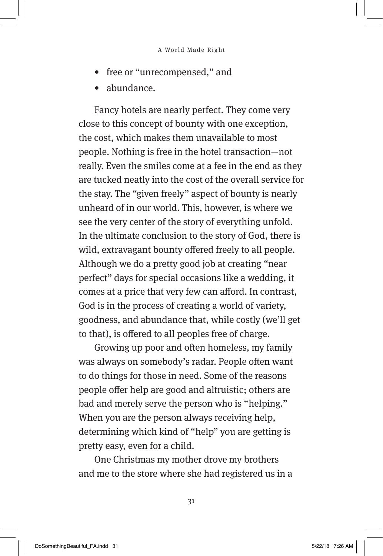- free or "unrecompensed," and
- abundance.

Fancy hotels are nearly perfect. They come very close to this concept of bounty with one exception, the cost, which makes them unavailable to most people. Nothing is free in the hotel transaction—not really. Even the smiles come at a fee in the end as they are tucked neatly into the cost of the overall service for the stay. The "given freely" aspect of bounty is nearly unheard of in our world. This, however, is where we see the very center of the story of everything unfold. In the ultimate conclusion to the story of God, there is wild, extravagant bounty offered freely to all people. Although we do a pretty good job at creating "near perfect" days for special occasions like a wedding, it comes at a price that very few can afford. In contrast, God is in the process of creating a world of variety, goodness, and abundance that, while costly (we'll get to that), is offered to all peoples free of charge.

Growing up poor and often homeless, my family was always on somebody's radar. People often want to do things for those in need. Some of the reasons people offer help are good and altruistic; others are bad and merely serve the person who is "helping." When you are the person always receiving help, determining which kind of "help" you are getting is pretty easy, even for a child.

One Christmas my mother drove my brothers and me to the store where she had registered us in a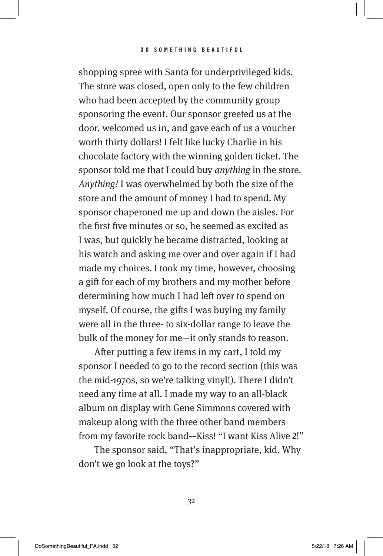shopping spree with Santa for underprivileged kids. The store was closed, open only to the few children who had been accepted by the community group sponsoring the event. Our sponsor greeted us at the door, welcomed us in, and gave each of us a voucher worth thirty dollars! I felt like lucky Charlie in his chocolate factory with the winning golden ticket. The sponsor told me that I could buy *anything* in the store*. Anything!* I was overwhelmed by both the size of the store and the amount of money I had to spend. My sponsor chaperoned me up and down the aisles. For the first five minutes or so, he seemed as excited as I was, but quickly he became distracted, looking at his watch and asking me over and over again if I had made my choices. I took my time, however, choosing a gift for each of my brothers and my mother before determining how much I had left over to spend on myself. Of course, the gifts I was buying my family were all in the three- to six-dollar range to leave the bulk of the money for me—it only stands to reason.

After putting a few items in my cart, I told my sponsor I needed to go to the record section (this was the mid-1970s, so we're talking vinyl!). There I didn't need any time at all. I made my way to an all-black album on display with Gene Simmons covered with makeup along with the three other band members from my favorite rock band—Kiss! "I want Kiss Alive 2!"

The sponsor said, "That's inappropriate, kid. Why don't we go look at the toys?"

32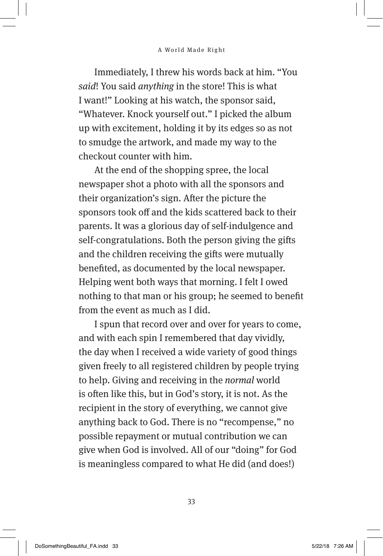Immediately, I threw his words back at him. "You *said*! You said *anything* in the store! This is what I want!" Looking at his watch, the sponsor said, "Whatever. Knock yourself out." I picked the album up with excitement, holding it by its edges so as not to smudge the artwork, and made my way to the checkout counter with him.

At the end of the shopping spree, the local newspaper shot a photo with all the sponsors and their organization's sign. After the picture the sponsors took off and the kids scattered back to their parents. It was a glorious day of self-indulgence and self-congratulations. Both the person giving the gifts and the children receiving the gifts were mutually benefited, as documented by the local newspaper. Helping went both ways that morning. I felt I owed nothing to that man or his group; he seemed to benefit from the event as much as I did.

I spun that record over and over for years to come, and with each spin I remembered that day vividly, the day when I received a wide variety of good things given freely to all registered children by people trying to help. Giving and receiving in the *normal* world is often like this, but in God's story, it is not. As the recipient in the story of everything, we cannot give anything back to God. There is no "recompense," no possible repayment or mutual contribution we can give when God is involved. All of our "doing" for God is meaningless compared to what He did (and does!)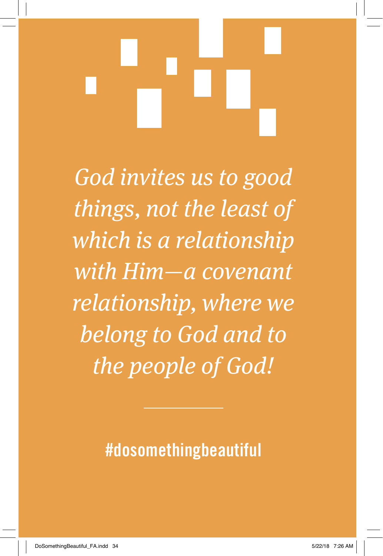# **DO SOMETHING BEAUTIFUL**

*God invites us to good things, not the least of which is a relationship with Him—a covenant relationship, where we belong to God and to the people of God!*

**#dosomethingbeautiful**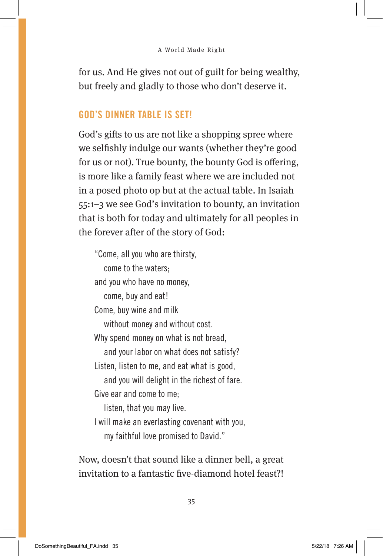for us. And He gives not out of guilt for being wealthy, but freely and gladly to those who don't deserve it.

## **GOD'S DINNER TABLE IS SET!**

God's gifts to us are not like a shopping spree where we selfishly indulge our wants (whether they're good for us or not). True bounty, the bounty God is offering, is more like a family feast where we are included not in a posed photo op but at the actual table. In Isaiah 55:1–3 we see God's invitation to bounty, an invitation that is both for today and ultimately for all peoples in the forever after of the story of God:

"Come, all you who are thirsty, come to the waters; and you who have no money, come, buy and eat! Come, buy wine and milk without money and without cost. Why spend money on what is not bread, and your labor on what does not satisfy? Listen, listen to me, and eat what is good, and you will delight in the richest of fare. Give ear and come to me; listen, that you may live. I will make an everlasting covenant with you, my faithful love promised to David."

Now, doesn't that sound like a dinner bell, a great invitation to a fantastic five-diamond hotel feast?!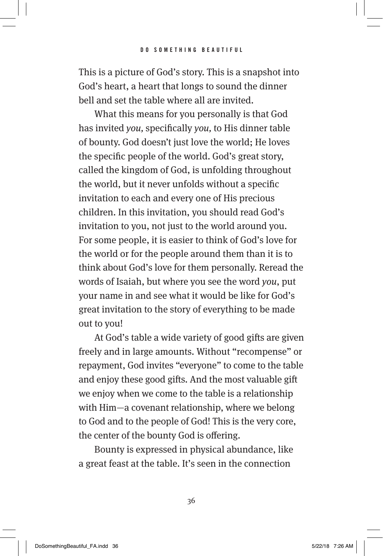This is a picture of God's story. This is a snapshot into God's heart, a heart that longs to sound the dinner bell and set the table where all are invited.

What this means for you personally is that God has invited *you,* specifically *you,* to His dinner table of bounty. God doesn't just love the world; He loves the specific people of the world. God's great story, called the kingdom of God, is unfolding throughout the world, but it never unfolds without a specific invitation to each and every one of His precious children. In this invitation, you should read God's invitation to you, not just to the world around you. For some people, it is easier to think of God's love for the world or for the people around them than it is to think about God's love for them personally. Reread the words of Isaiah, but where you see the word *you*, put your name in and see what it would be like for God's great invitation to the story of everything to be made out to you!

At God's table a wide variety of good gifts are given freely and in large amounts. Without "recompense" or repayment, God invites "everyone" to come to the table and enjoy these good gifts. And the most valuable gift we enjoy when we come to the table is a relationship with Him—a covenant relationship, where we belong to God and to the people of God! This is the very core, the center of the bounty God is offering.

Bounty is expressed in physical abundance, like a great feast at the table. It's seen in the connection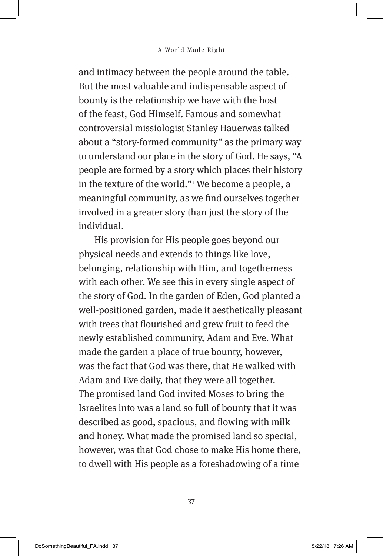and intimacy between the people around the table. But the most valuable and indispensable aspect of bounty is the relationship we have with the host of the feast, God Himself. Famous and somewhat controversial missiologist Stanley Hauerwas talked about a "story-formed community" as the primary way to understand our place in the story of God. He says, "A people are formed by a story which places their history in the texture of the world."1 We become a people, a meaningful community, as we find ourselves together involved in a greater story than just the story of the individual.

His provision for His people goes beyond our physical needs and extends to things like love, belonging, relationship with Him, and togetherness with each other. We see this in every single aspect of the story of God. In the garden of Eden, God planted a well-positioned garden, made it aesthetically pleasant with trees that flourished and grew fruit to feed the newly established community, Adam and Eve. What made the garden a place of true bounty, however, was the fact that God was there, that He walked with Adam and Eve daily, that they were all together. The promised land God invited Moses to bring the Israelites into was a land so full of bounty that it was described as good, spacious, and flowing with milk and honey. What made the promised land so special, however, was that God chose to make His home there, to dwell with His people as a foreshadowing of a time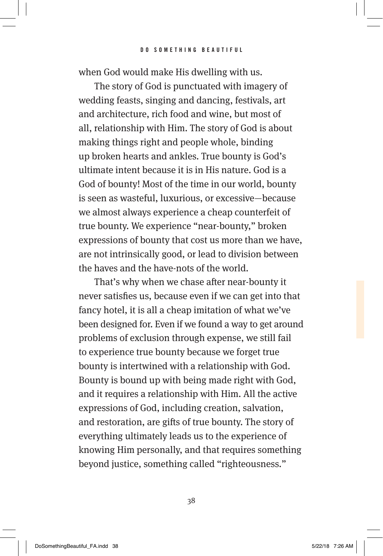when God would make His dwelling with us.

The story of God is punctuated with imagery of wedding feasts, singing and dancing, festivals, art and architecture, rich food and wine, but most of all, relationship with Him. The story of God is about making things right and people whole, binding up broken hearts and ankles. True bounty is God's ultimate intent because it is in His nature. God is a God of bounty! Most of the time in our world, bounty is seen as wasteful, luxurious, or excessive—because we almost always experience a cheap counterfeit of true bounty. We experience "near-bounty," broken expressions of bounty that cost us more than we have, are not intrinsically good, or lead to division between the haves and the have-nots of the world.

That's why when we chase after near-bounty it never satisfies us, because even if we can get into that fancy hotel, it is all a cheap imitation of what we've been designed for. Even if we found a way to get around problems of exclusion through expense, we still fail to experience true bounty because we forget true bounty is intertwined with a relationship with God. Bounty is bound up with being made right with God, and it requires a relationship with Him. All the active expressions of God, including creation, salvation, and restoration, are gifts of true bounty. The story of everything ultimately leads us to the experience of knowing Him personally, and that requires something beyond justice, something called "righteousness."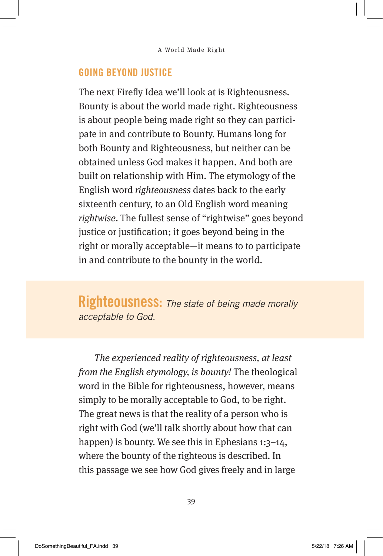## **GOING BEYOND JUSTICE**

The next Firefly Idea we'll look at is Righteousness. Bounty is about the world made right. Righteousness is about people being made right so they can participate in and contribute to Bounty. Humans long for both Bounty and Righteousness, but neither can be obtained unless God makes it happen. And both are built on relationship with Him. The etymology of the English word *righteousness* dates back to the early sixteenth century, to an Old English word meaning *rightwise*. The fullest sense of "rightwise" goes beyond justice or justification; it goes beyond being in the right or morally acceptable—it means to to participate in and contribute to the bounty in the world.

**Righteousness:** *The state of being made morally acceptable to God.* 

*The experienced reality of righteousness, at least from the English etymology, is bounty!* The theological word in the Bible for righteousness, however, means simply to be morally acceptable to God, to be right. The great news is that the reality of a person who is right with God (we'll talk shortly about how that can happen) is bounty. We see this in Ephesians 1:3-14, where the bounty of the righteous is described. In this passage we see how God gives freely and in large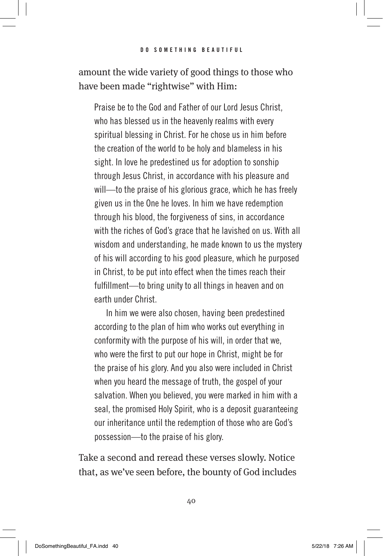amount the wide variety of good things to those who have been made "rightwise" with Him:

Praise be to the God and Father of our Lord Jesus Christ, who has blessed us in the heavenly realms with every spiritual blessing in Christ. For he chose us in him before the creation of the world to be holy and blameless in his sight. In love he predestined us for adoption to sonship through Jesus Christ, in accordance with his pleasure and will—to the praise of his glorious grace, which he has freely given us in the One he loves. In him we have redemption through his blood, the forgiveness of sins, in accordance with the riches of God's grace that he lavished on us. With all wisdom and understanding, he made known to us the mystery of his will according to his good pleasure, which he purposed in Christ, to be put into effect when the times reach their fulfillment—to bring unity to all things in heaven and on earth under Christ.

In him we were also chosen, having been predestined according to the plan of him who works out everything in conformity with the purpose of his will, in order that we, who were the first to put our hope in Christ, might be for the praise of his glory. And you also were included in Christ when you heard the message of truth, the gospel of your salvation. When you believed, you were marked in him with a seal, the promised Holy Spirit, who is a deposit guaranteeing our inheritance until the redemption of those who are God's possession—to the praise of his glory.

Take a second and reread these verses slowly. Notice that, as we've seen before, the bounty of God includes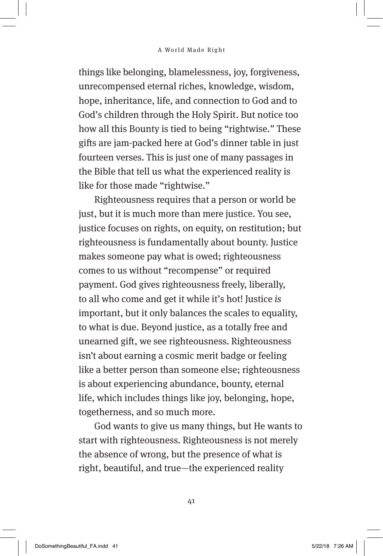things like belonging, blamelessness, joy, forgiveness, unrecompensed eternal riches, knowledge, wisdom, hope, inheritance, life, and connection to God and to God's children through the Holy Spirit. But notice too how all this Bounty is tied to being "rightwise." These gifts are jam-packed here at God's dinner table in just fourteen verses. This is just one of many passages in the Bible that tell us what the experienced reality is like for those made "rightwise."

Righteousness requires that a person or world be just, but it is much more than mere justice. You see, justice focuses on rights, on equity, on restitution; but righteousness is fundamentally about bounty. Justice makes someone pay what is owed; righteousness comes to us without "recompense" or required payment. God gives righteousness freely, liberally, to all who come and get it while it's hot! Justice *is* important, but it only balances the scales to equality, to what is due. Beyond justice, as a totally free and unearned gift, we see righteousness. Righteousness isn't about earning a cosmic merit badge or feeling like a better person than someone else; righteousness is about experiencing abundance, bounty, eternal life, which includes things like joy, belonging, hope, togetherness, and so much more.

God wants to give us many things, but He wants to start with righteousness. Righteousness is not merely the absence of wrong, but the presence of what is right, beautiful, and true—the experienced reality

41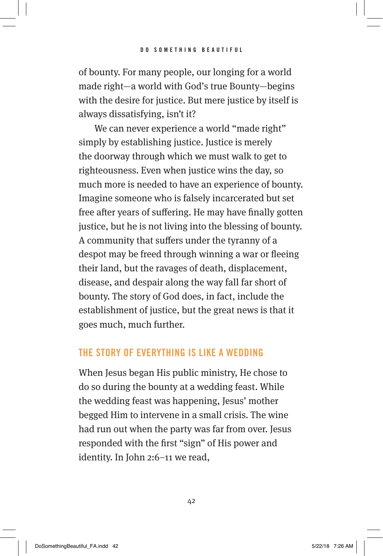of bounty. For many people, our longing for a world made right—a world with God's true Bounty—begins with the desire for justice. But mere justice by itself is always dissatisfying, isn't it?

We can never experience a world "made right" simply by establishing justice. Justice is merely the doorway through which we must walk to get to righteousness. Even when justice wins the day, so much more is needed to have an experience of bounty. Imagine someone who is falsely incarcerated but set free after years of suffering. He may have finally gotten justice, but he is not living into the blessing of bounty. A community that suffers under the tyranny of a despot may be freed through winning a war or fleeing their land, but the ravages of death, displacement, disease, and despair along the way fall far short of bounty. The story of God does, in fact, include the establishment of justice, but the great news is that it goes much, much further.

## **THE STORY OF EVERYTHING IS LIKE A WEDDING**

When Jesus began His public ministry, He chose to do so during the bounty at a wedding feast. While the wedding feast was happening, Jesus' mother begged Him to intervene in a small crisis. The wine had run out when the party was far from over. Jesus responded with the first "sign" of His power and identity. In John 2:6–11 we read,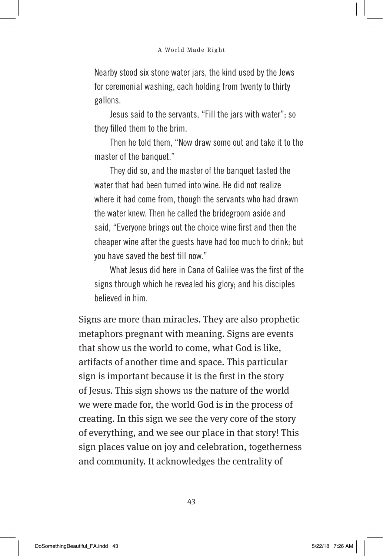Nearby stood six stone water jars, the kind used by the Jews for ceremonial washing, each holding from twenty to thirty gallons.

Jesus said to the servants, "Fill the jars with water"; so they filled them to the brim.

Then he told them, "Now draw some out and take it to the master of the banquet."

They did so, and the master of the banquet tasted the water that had been turned into wine. He did not realize where it had come from, though the servants who had drawn the water knew. Then he called the bridegroom aside and said, "Everyone brings out the choice wine first and then the cheaper wine after the guests have had too much to drink; but you have saved the best till now."

What Jesus did here in Cana of Galilee was the first of the signs through which he revealed his glory; and his disciples believed in him.

Signs are more than miracles. They are also prophetic metaphors pregnant with meaning. Signs are events that show us the world to come, what God is like, artifacts of another time and space. This particular sign is important because it is the first in the story of Jesus. This sign shows us the nature of the world we were made for, the world God is in the process of creating. In this sign we see the very core of the story of everything, and we see our place in that story! This sign places value on joy and celebration, togetherness and community. It acknowledges the centrality of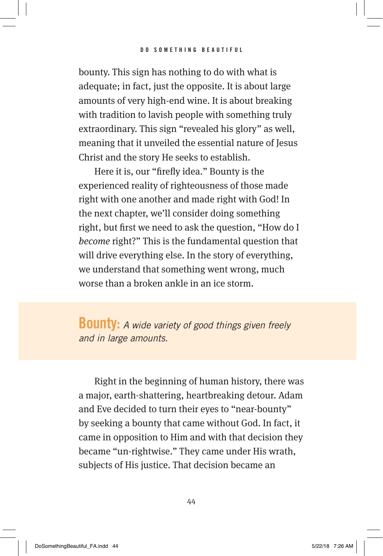bounty. This sign has nothing to do with what is adequate; in fact, just the opposite. It is about large amounts of very high-end wine. It is about breaking with tradition to lavish people with something truly extraordinary. This sign "revealed his glory" as well, meaning that it unveiled the essential nature of Jesus Christ and the story He seeks to establish.

Here it is, our "firefly idea." Bounty is the experienced reality of righteousness of those made right with one another and made right with God! In the next chapter, we'll consider doing something right, but first we need to ask the question, "How do I *become* right?" This is the fundamental question that will drive everything else. In the story of everything, we understand that something went wrong, much worse than a broken ankle in an ice storm.

**Bounty:** *A wide variety of good things given freely and in large amounts.*

Right in the beginning of human history, there was a major, earth-shattering, heartbreaking detour. Adam and Eve decided to turn their eyes to "near-bounty" by seeking a bounty that came without God. In fact, it came in opposition to Him and with that decision they became "un-rightwise." They came under His wrath, subjects of His justice. That decision became an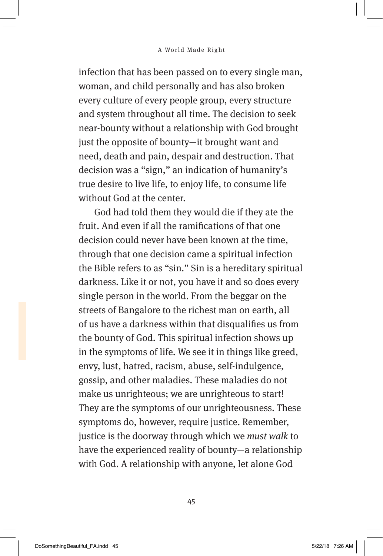infection that has been passed on to every single man, woman, and child personally and has also broken every culture of every people group, every structure and system throughout all time. The decision to seek near-bounty without a relationship with God brought just the opposite of bounty—it brought want and need, death and pain, despair and destruction. That decision was a "sign," an indication of humanity's true desire to live life, to enjoy life, to consume life without God at the center.

God had told them they would die if they ate the fruit. And even if all the ramifications of that one decision could never have been known at the time, through that one decision came a spiritual infection the Bible refers to as "sin." Sin is a hereditary spiritual darkness. Like it or not, you have it and so does every single person in the world. From the beggar on the streets of Bangalore to the richest man on earth, all of us have a darkness within that disqualifies us from the bounty of God. This spiritual infection shows up in the symptoms of life. We see it in things like greed, envy, lust, hatred, racism, abuse, self-indulgence, gossip, and other maladies. These maladies do not make us unrighteous; we are unrighteous to start! They are the symptoms of our unrighteousness. These symptoms do, however, require justice. Remember, justice is the doorway through which we *must walk* to have the experienced reality of bounty—a relationship with God. A relationship with anyone, let alone God

45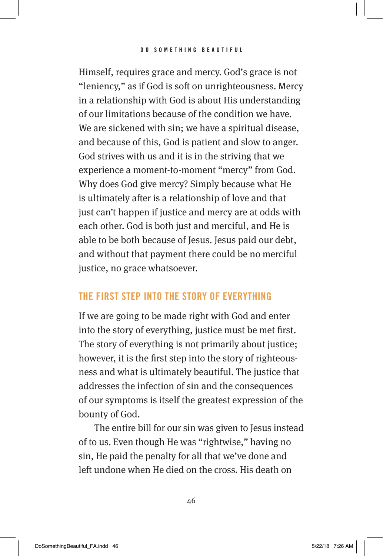Himself, requires grace and mercy. God's grace is not "leniency," as if God is soft on unrighteousness. Mercy in a relationship with God is about His understanding of our limitations because of the condition we have. We are sickened with sin; we have a spiritual disease, and because of this, God is patient and slow to anger. God strives with us and it is in the striving that we experience a moment-to-moment "mercy" from God. Why does God give mercy? Simply because what He is ultimately after is a relationship of love and that just can't happen if justice and mercy are at odds with each other. God is both just and merciful, and He is able to be both because of Jesus. Jesus paid our debt, and without that payment there could be no merciful justice, no grace whatsoever.

## **THE FIRST STEP INTO THE STORY OF EVERYTHING**

If we are going to be made right with God and enter into the story of everything, justice must be met first. The story of everything is not primarily about justice; however, it is the first step into the story of righteousness and what is ultimately beautiful. The justice that addresses the infection of sin and the consequences of our symptoms is itself the greatest expression of the bounty of God.

The entire bill for our sin was given to Jesus instead of to us. Even though He was "rightwise," having no sin, He paid the penalty for all that we've done and left undone when He died on the cross. His death on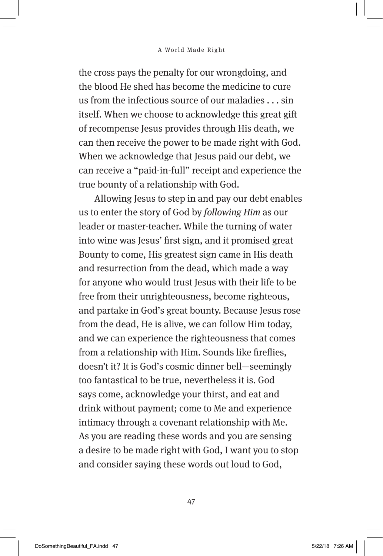the cross pays the penalty for our wrongdoing, and the blood He shed has become the medicine to cure us from the infectious source of our maladies  $\sin$ itself. When we choose to acknowledge this great gift of recompense Jesus provides through His death, we can then receive the power to be made right with God. When we acknowledge that Jesus paid our debt, we can receive a "paid-in-full" receipt and experience the true bounty of a relationship with God.

Allowing Jesus to step in and pay our debt enables us to enter the story of God by *following Him* as our leader or master-teacher. While the turning of water into wine was Jesus' first sign, and it promised great Bounty to come, His greatest sign came in His death and resurrection from the dead, which made a way for anyone who would trust Jesus with their life to be free from their unrighteousness, become righteous, and partake in God's great bounty. Because Jesus rose from the dead, He is alive, we can follow Him today, and we can experience the righteousness that comes from a relationship with Him. Sounds like fireflies, doesn't it? It is God's cosmic dinner bell—seemingly too fantastical to be true, nevertheless it is. God says come, acknowledge your thirst, and eat and drink without payment; come to Me and experience intimacy through a covenant relationship with Me. As you are reading these words and you are sensing a desire to be made right with God, I want you to stop and consider saying these words out loud to God,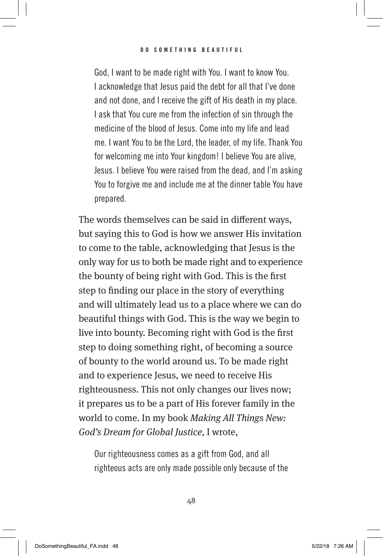God, I want to be made right with You. I want to know You. I acknowledge that Jesus paid the debt for all that I've done and not done, and I receive the gift of His death in my place. I ask that You cure me from the infection of sin through the medicine of the blood of Jesus. Come into my life and lead me. I want You to be the Lord, the leader, of my life. Thank You for welcoming me into Your kingdom! I believe You are alive, Jesus. I believe You were raised from the dead, and I'm asking You to forgive me and include me at the dinner table You have prepared.

The words themselves can be said in different ways, but saying this to God is how we answer His invitation to come to the table, acknowledging that Jesus is the only way for us to both be made right and to experience the bounty of being right with God. This is the first step to finding our place in the story of everything and will ultimately lead us to a place where we can do beautiful things with God. This is the way we begin to live into bounty. Becoming right with God is the first step to doing something right, of becoming a source of bounty to the world around us. To be made right and to experience Jesus, we need to receive His righteousness. This not only changes our lives now; it prepares us to be a part of His forever family in the world to come. In my book *Making All Things New: God's Dream for Global Justice,* I wrote,

Our righteousness comes as a gift from God, and all righteous acts are only made possible only because of the